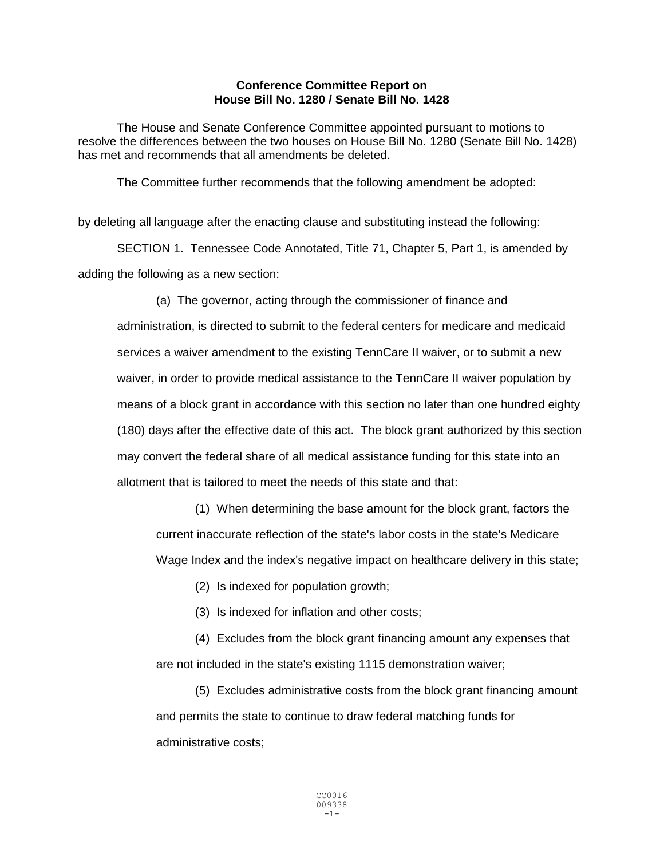## **Conference Committee Report on House Bill No. 1280 / Senate Bill No. 1428**

The House and Senate Conference Committee appointed pursuant to motions to resolve the differences between the two houses on House Bill No. 1280 (Senate Bill No. 1428) has met and recommends that all amendments be deleted.

The Committee further recommends that the following amendment be adopted:

by deleting all language after the enacting clause and substituting instead the following:

SECTION 1. Tennessee Code Annotated, Title 71, Chapter 5, Part 1, is amended by adding the following as a new section:

(a) The governor, acting through the commissioner of finance and administration, is directed to submit to the federal centers for medicare and medicaid services a waiver amendment to the existing TennCare II waiver, or to submit a new waiver, in order to provide medical assistance to the TennCare II waiver population by means of a block grant in accordance with this section no later than one hundred eighty (180) days after the effective date of this act. The block grant authorized by this section may convert the federal share of all medical assistance funding for this state into an allotment that is tailored to meet the needs of this state and that:

(1) When determining the base amount for the block grant, factors the current inaccurate reflection of the state's labor costs in the state's Medicare Wage Index and the index's negative impact on healthcare delivery in this state;

(2) Is indexed for population growth;

(3) Is indexed for inflation and other costs;

(4) Excludes from the block grant financing amount any expenses that are not included in the state's existing 1115 demonstration waiver;

(5) Excludes administrative costs from the block grant financing amount and permits the state to continue to draw federal matching funds for administrative costs;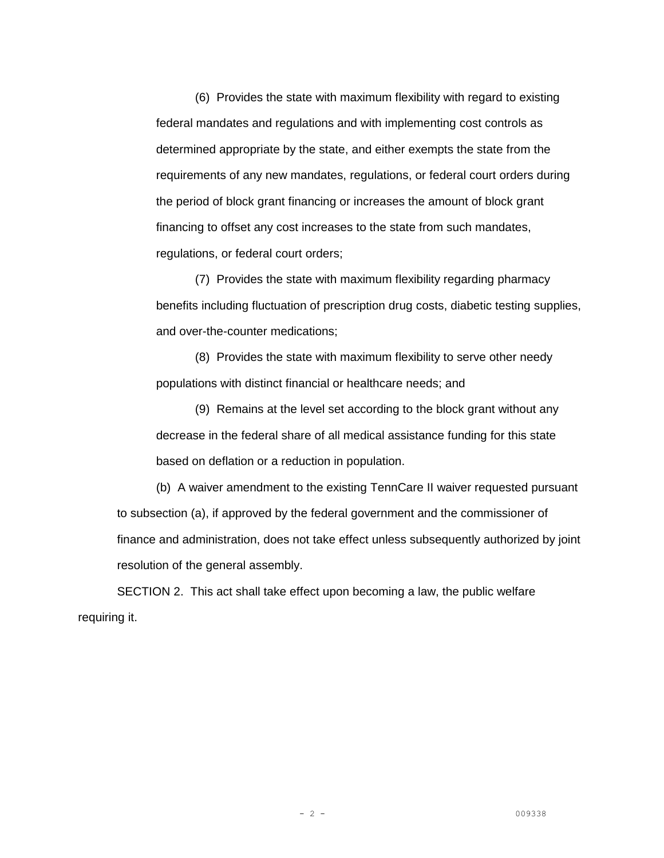(6) Provides the state with maximum flexibility with regard to existing federal mandates and regulations and with implementing cost controls as determined appropriate by the state, and either exempts the state from the requirements of any new mandates, regulations, or federal court orders during the period of block grant financing or increases the amount of block grant financing to offset any cost increases to the state from such mandates, regulations, or federal court orders;

(7) Provides the state with maximum flexibility regarding pharmacy benefits including fluctuation of prescription drug costs, diabetic testing supplies, and over-the-counter medications;

(8) Provides the state with maximum flexibility to serve other needy populations with distinct financial or healthcare needs; and

(9) Remains at the level set according to the block grant without any decrease in the federal share of all medical assistance funding for this state based on deflation or a reduction in population.

(b) A waiver amendment to the existing TennCare II waiver requested pursuant to subsection (a), if approved by the federal government and the commissioner of finance and administration, does not take effect unless subsequently authorized by joint resolution of the general assembly.

SECTION 2. This act shall take effect upon becoming a law, the public welfare requiring it.